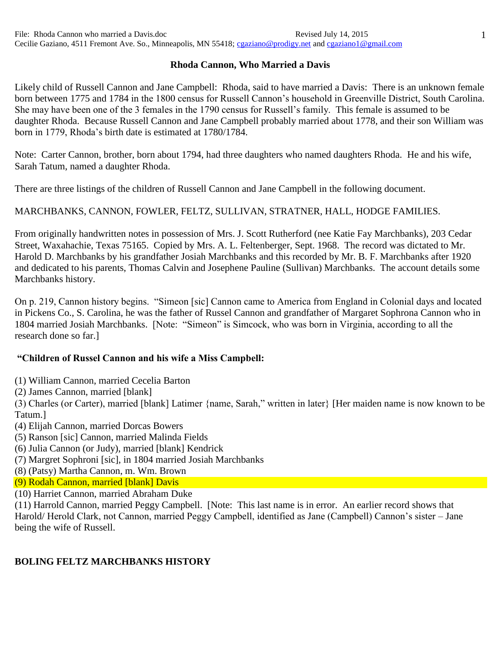## **Rhoda Cannon, Who Married a Davis**

Likely child of Russell Cannon and Jane Campbell: Rhoda, said to have married a Davis: There is an unknown female born between 1775 and 1784 in the 1800 census for Russell Cannon's household in Greenville District, South Carolina. She may have been one of the 3 females in the 1790 census for Russell's family. This female is assumed to be daughter Rhoda. Because Russell Cannon and Jane Campbell probably married about 1778, and their son William was born in 1779, Rhoda's birth date is estimated at 1780/1784.

Note: Carter Cannon, brother, born about 1794, had three daughters who named daughters Rhoda. He and his wife, Sarah Tatum, named a daughter Rhoda.

There are three listings of the children of Russell Cannon and Jane Campbell in the following document.

MARCHBANKS, CANNON, FOWLER, FELTZ, SULLIVAN, STRATNER, HALL, HODGE FAMILIES.

From originally handwritten notes in possession of Mrs. J. Scott Rutherford (nee Katie Fay Marchbanks), 203 Cedar Street, Waxahachie, Texas 75165. Copied by Mrs. A. L. Feltenberger, Sept. 1968. The record was dictated to Mr. Harold D. Marchbanks by his grandfather Josiah Marchbanks and this recorded by Mr. B. F. Marchbanks after 1920 and dedicated to his parents, Thomas Calvin and Josephene Pauline (Sullivan) Marchbanks. The account details some Marchbanks history.

On p. 219, Cannon history begins. "Simeon [sic] Cannon came to America from England in Colonial days and located in Pickens Co., S. Carolina, he was the father of Russel Cannon and grandfather of Margaret Sophrona Cannon who in 1804 married Josiah Marchbanks. [Note: "Simeon" is Simcock, who was born in Virginia, according to all the research done so far.]

## **"Children of Russel Cannon and his wife a Miss Campbell:**

(1) William Cannon, married Cecelia Barton

(2) James Cannon, married [blank]

(3) Charles (or Carter), married [blank] Latimer {name, Sarah," written in later} [Her maiden name is now known to be Tatum.]

- (4) Elijah Cannon, married Dorcas Bowers
- (5) Ranson [sic] Cannon, married Malinda Fields
- (6) Julia Cannon (or Judy), married [blank] Kendrick
- (7) Margret Sophroni [sic], in 1804 married Josiah Marchbanks
- (8) (Patsy) Martha Cannon, m. Wm. Brown
- (9) Rodah Cannon, married [blank] Davis
- (10) Harriet Cannon, married Abraham Duke

(11) Harrold Cannon, married Peggy Campbell. [Note: This last name is in error. An earlier record shows that Harold/ Herold Clark, not Cannon, married Peggy Campbell, identified as Jane (Campbell) Cannon's sister – Jane being the wife of Russell.

## **BOLING FELTZ MARCHBANKS HISTORY**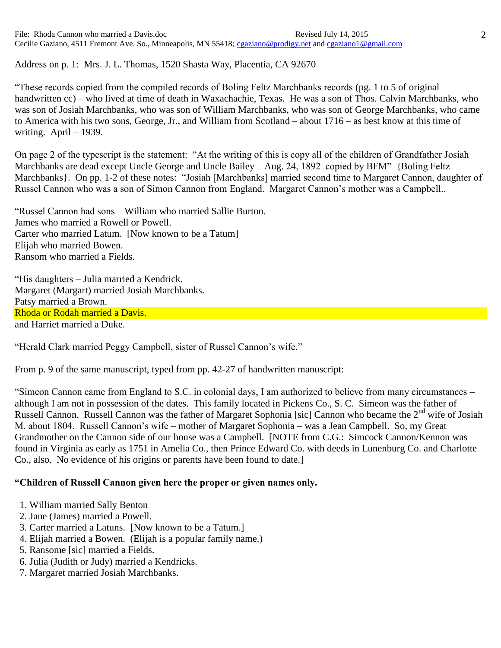File: Rhoda Cannon who married a Davis.doc Revised July 14, 2015 Cecilie Gaziano, 4511 Fremont Ave. So., Minneapolis, MN 55418; [cgaziano@prodigy.net](mailto:cgaziano@prodigy.net) an[d cgaziano1@gmail.com](mailto:cgaziano1@gmail.com)

Address on p. 1: Mrs. J. L. Thomas, 1520 Shasta Way, Placentia, CA 92670

"These records copied from the compiled records of Boling Feltz Marchbanks records (pg. 1 to 5 of original handwritten cc) – who lived at time of death in Waxachachie, Texas. He was a son of Thos. Calvin Marchbanks, who was son of Josiah Marchbanks, who was son of William Marchbanks, who was son of George Marchbanks, who came to America with his two sons, George, Jr., and William from Scotland – about 1716 – as best know at this time of writing. April – 1939.

On page 2 of the typescript is the statement: "At the writing of this is copy all of the children of Grandfather Josiah Marchbanks are dead except Uncle George and Uncle Bailey – Aug. 24, 1892 copied by BFM" {Boling Feltz Marchbanks}. On pp. 1-2 of these notes: "Josiah [Marchbanks] married second time to Margaret Cannon, daughter of Russel Cannon who was a son of Simon Cannon from England. Margaret Cannon's mother was a Campbell..

"Russel Cannon had sons – William who married Sallie Burton. James who married a Rowell or Powell. Carter who married Latum. [Now known to be a Tatum] Elijah who married Bowen. Ransom who married a Fields.

"His daughters – Julia married a Kendrick. Margaret (Margart) married Josiah Marchbanks. Patsy married a Brown. Rhoda or Rodah married a Davis. and Harriet married a Duke.

"Herald Clark married Peggy Campbell, sister of Russel Cannon's wife."

From p. 9 of the same manuscript, typed from pp. 42-27 of handwritten manuscript:

"Simeon Cannon came from England to S.C. in colonial days, I am authorized to believe from many circumstances – although I am not in possession of the dates. This family located in Pickens Co., S. C. Simeon was the father of Russell Cannon. Russell Cannon was the father of Margaret Sophonia [sic] Cannon who became the 2<sup>nd</sup> wife of Josiah M. about 1804. Russell Cannon's wife – mother of Margaret Sophonia – was a Jean Campbell. So, my Great Grandmother on the Cannon side of our house was a Campbell. [NOTE from C.G.: Simcock Cannon/Kennon was found in Virginia as early as 1751 in Amelia Co., then Prince Edward Co. with deeds in Lunenburg Co. and Charlotte Co., also. No evidence of his origins or parents have been found to date.]

## **"Children of Russell Cannon given here the proper or given names only.**

- 1. William married Sally Benton
- 2. Jane (James) married a Powell.
- 3. Carter married a Latuns. [Now known to be a Tatum.]
- 4. Elijah married a Bowen. (Elijah is a popular family name.)
- 5. Ransome [sic] married a Fields.
- 6. Julia (Judith or Judy) married a Kendricks.
- 7. Margaret married Josiah Marchbanks.